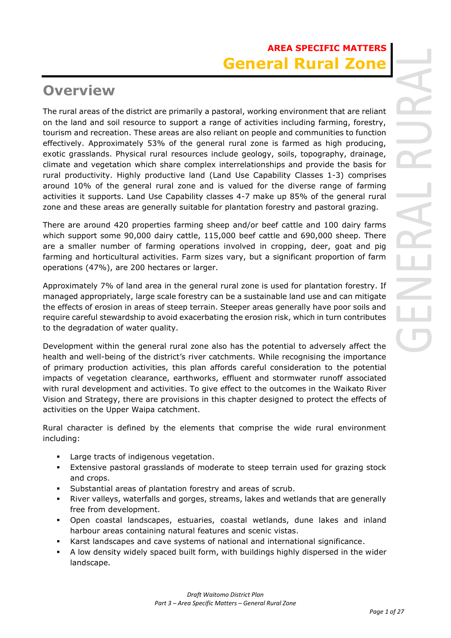# **Overview**

The rural areas of the district are primarily a pastoral, working environment that are reliant on the land and soil resource to support a range of activities including farming, forestry, tourism and recreation. These areas are also reliant on people and communities to function effectively. Approximately 53% of the general rural zone is farmed as high producing, exotic grasslands. Physical rural resources include geology, soils, topography, drainage, climate and vegetation which share complex interrelationships and provide the basis for rural productivity. Highly productive land (Land Use Capability Classes 1-3) comprises around 10% of the general rural zone and is valued for the diverse range of farming activities it supports. Land Use Capability classes 4-7 make up 85% of the general rural zone and these areas are generally suitable for plantation forestry and pastoral grazing.

There are around 420 properties farming sheep and/or beef cattle and 100 dairy farms which support some 90,000 dairy cattle, 115,000 beef cattle and 690,000 sheep. There are a smaller number of farming operations involved in cropping, deer, goat and pig farming and horticultural activities. Farm sizes vary, but a significant proportion of farm operations (47%), are 200 hectares or larger.

Approximately 7% of land area in the general rural zone is used for plantation forestry. If managed appropriately, large scale forestry can be a sustainable land use and can mitigate the effects of erosion in areas of steep terrain. Steeper areas generally have poor soils and require careful stewardship to avoid exacerbating the erosion risk, which in turn contributes to the degradation of water quality.

Development within the general rural zone also has the potential to adversely affect the health and well-being of the district's river catchments. While recognising the importance of primary production activities, this plan affords careful consideration to the potential impacts of vegetation clearance, earthworks, effluent and stormwater runoff associated with rural development and activities. To give effect to the outcomes in the Waikato River Vision and Strategy, there are provisions in this chapter designed to protect the effects of activities on the Upper Waipa catchment.

Rural character is defined by the elements that comprise the wide rural environment including:

- Large tracts of indigenous vegetation.
- Extensive pastoral grasslands of moderate to steep terrain used for grazing stock and crops.
- Substantial areas of plantation forestry and areas of scrub.
- River valleys, waterfalls and gorges, streams, lakes and wetlands that are generally free from development.
- Open coastal landscapes, estuaries, coastal wetlands, dune lakes and inland harbour areas containing natural features and scenic vistas.
- Karst landscapes and cave systems of national and international significance.
- A low density widely spaced built form, with buildings highly dispersed in the wider landscape.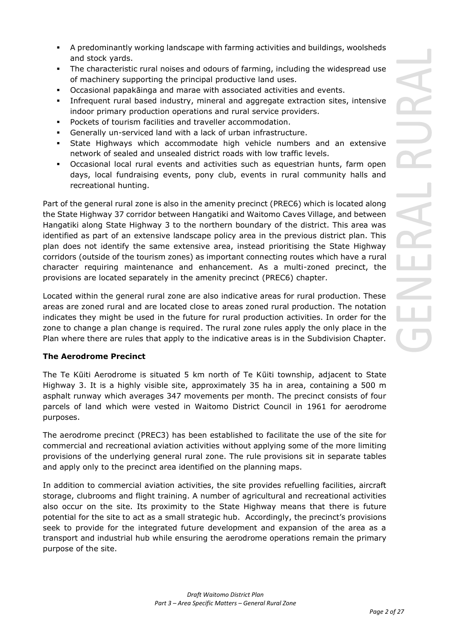- A predominantly working landscape with farming activities and buildings, woolsheds and stock yards.
- The characteristic rural noises and odours of farming, including the widespread use of machinery supporting the principal productive land uses.
- Occasional papakāinga and marae with associated activities and events.
- **•** Infrequent rural based industry, mineral and aggregate extraction sites, intensive indoor primary production operations and rural service providers.
- Pockets of tourism facilities and traveller accommodation.
- Generally un-serviced land with a lack of urban infrastructure.
- **EXEL A** State Highways which accommodate high vehicle numbers and an extensive network of sealed and unsealed district roads with low traffic levels.
- Occasional local rural events and activities such as equestrian hunts, farm open days, local fundraising events, pony club, events in rural community halls and recreational hunting.

Part of the general rural zone is also in the amenity precinct (PREC6) which is located along the State Highway 37 corridor between Hangatiki and Waitomo Caves Village, and between Hangatiki along State Highway 3 to the northern boundary of the district. This area was identified as part of an extensive landscape policy area in the previous district plan. This plan does not identify the same extensive area, instead prioritising the State Highway corridors (outside of the tourism zones) as important connecting routes which have a rural character requiring maintenance and enhancement. As a multi-zoned precinct, the provisions are located separately in the amenity precinct (PREC6) chapter.

Located within the general rural zone are also indicative areas for rural production. These areas are zoned rural and are located close to areas zoned rural production. The notation indicates they might be used in the future for rural production activities. In order for the zone to change a plan change is required. The rural zone rules apply the only place in the Plan where there are rules that apply to the indicative areas is in the Subdivision Chapter.

# **The Aerodrome Precinct**

The Te Kūiti Aerodrome is situated 5 km north of Te Kūiti township, adjacent to State Highway 3. It is a highly visible site, approximately 35 ha in area, containing a 500 m asphalt runway which averages 347 movements per month. The precinct consists of four parcels of land which were vested in Waitomo District Council in 1961 for aerodrome purposes.

The aerodrome precinct (PREC3) has been established to facilitate the use of the site for commercial and recreational aviation activities without applying some of the more limiting provisions of the underlying general rural zone. The rule provisions sit in separate tables and apply only to the precinct area identified on the planning maps.

In addition to commercial aviation activities, the site provides refuelling facilities, aircraft storage, clubrooms and flight training. A number of agricultural and recreational activities also occur on the site. Its proximity to the State Highway means that there is future potential for the site to act as a small strategic hub. Accordingly, the precinct's provisions seek to provide for the integrated future development and expansion of the area as a transport and industrial hub while ensuring the aerodrome operations remain the primary purpose of the site.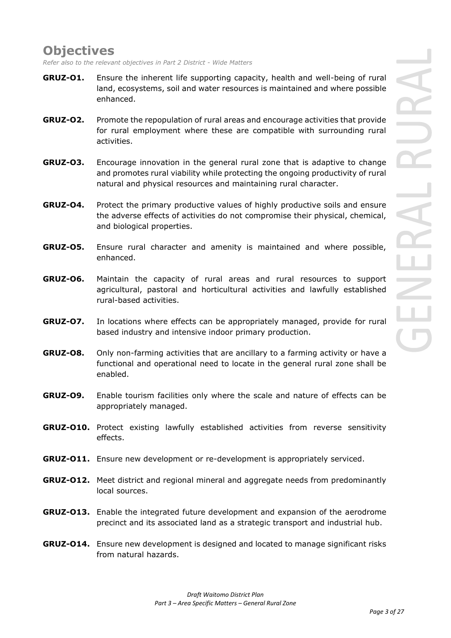# **Objectives**

*Refer also to the relevant objectives in Part 2 District - Wide Matters*

- **GRUZ-O1.** Ensure the inherent life supporting capacity, health and well-being of rural land, ecosystems, soil and water resources is maintained and where possible enhanced.
- **GRUZ-O2.** Promote the repopulation of rural areas and encourage activities that provide for rural employment where these are compatible with surrounding rural activities.
- **GRUZ-O3.** Encourage innovation in the general rural zone that is adaptive to change and promotes rural viability while protecting the ongoing productivity of rural natural and physical resources and maintaining rural character.
- **GRUZ-O4.** Protect the primary productive values of highly productive soils and ensure the adverse effects of activities do not compromise their physical, chemical, and biological properties.
- **GRUZ-O5.** Ensure rural character and amenity is maintained and where possible, enhanced.
- **GRUZ-O6.** Maintain the capacity of rural areas and rural resources to support agricultural, pastoral and horticultural activities and lawfully established rural-based activities.
- **GRUZ-O7.** In locations where effects can be appropriately managed, provide for rural based industry and intensive indoor primary production.
- **GRUZ-O8.** Only non-farming activities that are ancillary to a farming activity or have a functional and operational need to locate in the general rural zone shall be enabled.
- **GRUZ-O9.** Enable tourism facilities only where the scale and nature of effects can be appropriately managed.
- **GRUZ-O10.** Protect existing lawfully established activities from reverse sensitivity effects.
- **GRUZ-O11.** Ensure new development or re-development is appropriately serviced.
- **GRUZ-O12.** Meet district and regional mineral and aggregate needs from predominantly local sources.
- **GRUZ-O13.** Enable the integrated future development and expansion of the aerodrome precinct and its associated land as a strategic transport and industrial hub.
- **GRUZ-O14.** Ensure new development is designed and located to manage significant risks from natural hazards.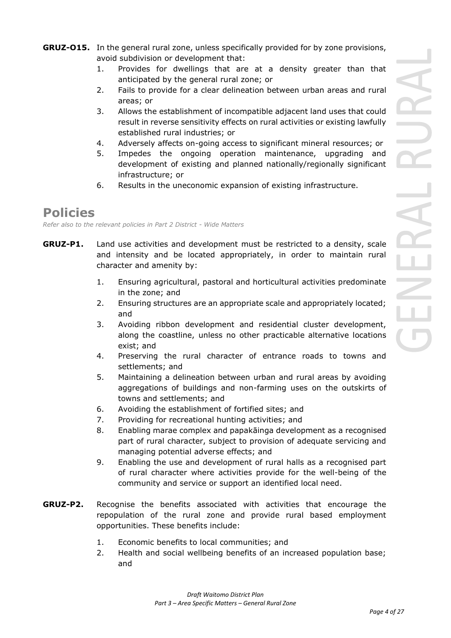- **GRUZ-O15.** In the general rural zone, unless specifically provided for by zone provisions, avoid subdivision or development that:
	- 1. Provides for dwellings that are at a density greater than that anticipated by the general rural zone; or
	- 2. Fails to provide for a clear delineation between urban areas and rural areas; or
	- 3. Allows the establishment of incompatible adjacent land uses that could result in reverse sensitivity effects on rural activities or existing lawfully established rural industries; or
	- 4. Adversely affects on-going access to significant mineral resources; or
	- 5. Impedes the ongoing operation maintenance, upgrading and development of existing and planned nationally/regionally significant infrastructure; or
	- 6. Results in the uneconomic expansion of existing infrastructure.

# **Policies**

*Refer also to the relevant policies in Part 2 District - Wide Matters* 

- **GRUZ-P1.** Land use activities and development must be restricted to a density, scale and intensity and be located appropriately, in order to maintain rural character and amenity by:
	- 1. Ensuring agricultural, pastoral and horticultural activities predominate in the zone; and
	- 2. Ensuring structures are an appropriate scale and appropriately located; and
	- 3. Avoiding ribbon development and residential cluster development, along the coastline, unless no other practicable alternative locations exist; and
	- 4. Preserving the rural character of entrance roads to towns and settlements; and
	- 5. Maintaining a delineation between urban and rural areas by avoiding aggregations of buildings and non-farming uses on the outskirts of towns and settlements; and
	- 6. Avoiding the establishment of fortified sites; and
	- 7. Providing for recreational hunting activities; and
	- 8. Enabling marae complex and papakāinga development as a recognised part of rural character, subject to provision of adequate servicing and managing potential adverse effects; and
	- 9. Enabling the use and development of rural halls as a recognised part of rural character where activities provide for the well-being of the community and service or support an identified local need.
- **GRUZ-P2.** Recognise the benefits associated with activities that encourage the repopulation of the rural zone and provide rural based employment opportunities. These benefits include:
	- 1. Economic benefits to local communities; and
	- 2. Health and social wellbeing benefits of an increased population base; and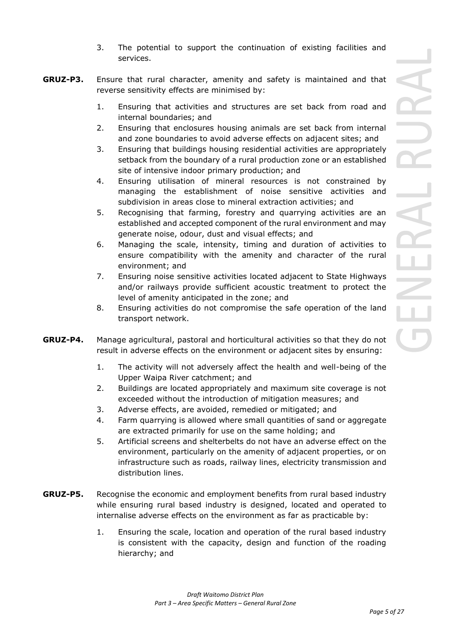- 3. The potential to support the continuation of existing facilities and services.
- **GRUZ-P3.** Ensure that rural character, amenity and safety is maintained and that reverse sensitivity effects are minimised by:
	- 1. Ensuring that activities and structures are set back from road and internal boundaries; and
	- 2. Ensuring that enclosures housing animals are set back from internal and zone boundaries to avoid adverse effects on adjacent sites; and
	- 3. Ensuring that buildings housing residential activities are appropriately setback from the boundary of a rural production zone or an established site of intensive indoor primary production; and
	- 4. Ensuring utilisation of mineral resources is not constrained by managing the establishment of noise sensitive activities and subdivision in areas close to mineral extraction activities; and
	- 5. Recognising that farming, forestry and quarrying activities are an established and accepted component of the rural environment and may generate noise, odour, dust and visual effects; and
	- 6. Managing the scale, intensity, timing and duration of activities to ensure compatibility with the amenity and character of the rural environment; and
	- 7. Ensuring noise sensitive activities located adjacent to State Highways and/or railways provide sufficient acoustic treatment to protect the level of amenity anticipated in the zone; and
	- 8. Ensuring activities do not compromise the safe operation of the land transport network.
- **GRUZ-P4.** Manage agricultural, pastoral and horticultural activities so that they do not result in adverse effects on the environment or adjacent sites by ensuring:
	- 1. The activity will not adversely affect the health and well-being of the Upper Waipa River catchment; and
	- 2. Buildings are located appropriately and maximum site coverage is not exceeded without the introduction of mitigation measures; and
	- 3. Adverse effects, are avoided, remedied or mitigated; and
	- 4. Farm quarrying is allowed where small quantities of sand or aggregate are extracted primarily for use on the same holding; and
	- 5. Artificial screens and shelterbelts do not have an adverse effect on the environment, particularly on the amenity of adjacent properties, or on infrastructure such as roads, railway lines, electricity transmission and distribution lines.
- **GRUZ-P5.** Recognise the economic and employment benefits from rural based industry while ensuring rural based industry is designed, located and operated to internalise adverse effects on the environment as far as practicable by:
	- 1. Ensuring the scale, location and operation of the rural based industry is consistent with the capacity, design and function of the roading hierarchy; and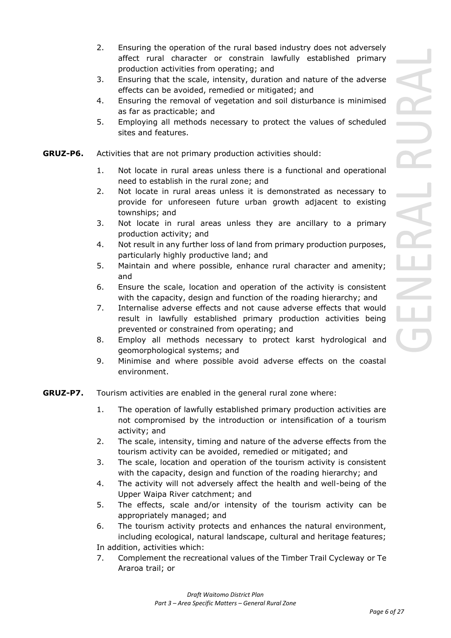- 2. Ensuring the operation of the rural based industry does not adversely affect rural character or constrain lawfully established primary production activities from operating; and
- 3. Ensuring that the scale, intensity, duration and nature of the adverse effects can be avoided, remedied or mitigated; and
- 4. Ensuring the removal of vegetation and soil disturbance is minimised as far as practicable; and
- 5. Employing all methods necessary to protect the values of scheduled sites and features.
- **GRUZ-P6.** Activities that are not primary production activities should:
	- 1. Not locate in rural areas unless there is a functional and operational need to establish in the rural zone; and
	- 2. Not locate in rural areas unless it is demonstrated as necessary to provide for unforeseen future urban growth adjacent to existing townships; and
	- 3. Not locate in rural areas unless they are ancillary to a primary production activity; and
	- 4. Not result in any further loss of land from primary production purposes, particularly highly productive land; and
	- 5. Maintain and where possible, enhance rural character and amenity; and
	- 6. Ensure the scale, location and operation of the activity is consistent with the capacity, design and function of the roading hierarchy; and
	- 7. Internalise adverse effects and not cause adverse effects that would result in lawfully established primary production activities being prevented or constrained from operating; and
	- 8. Employ all methods necessary to protect karst hydrological and geomorphological systems; and
	- 9. Minimise and where possible avoid adverse effects on the coastal environment.
- **GRUZ-P7.** Tourism activities are enabled in the general rural zone where:
	- 1. The operation of lawfully established primary production activities are not compromised by the introduction or intensification of a tourism activity; and
	- 2. The scale, intensity, timing and nature of the adverse effects from the tourism activity can be avoided, remedied or mitigated; and
	- 3. The scale, location and operation of the tourism activity is consistent with the capacity, design and function of the roading hierarchy; and
	- 4. The activity will not adversely affect the health and well-being of the Upper Waipa River catchment; and
	- 5. The effects, scale and/or intensity of the tourism activity can be appropriately managed; and
	- 6. The tourism activity protects and enhances the natural environment, including ecological, natural landscape, cultural and heritage features; In addition, activities which:
	- 7. Complement the recreational values of the Timber Trail Cycleway or Te Araroa trail; or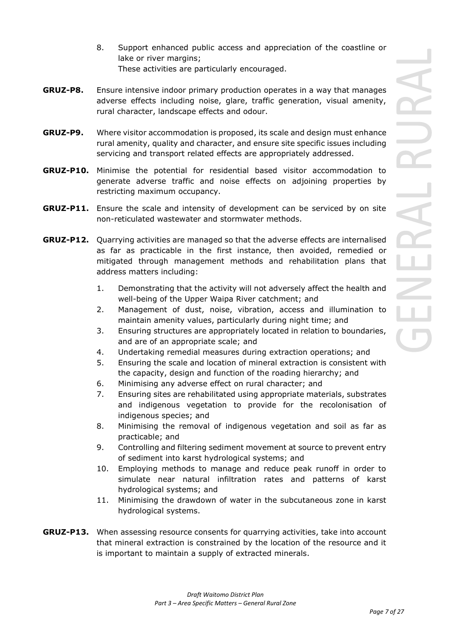- 8. Support enhanced public access and appreciation of the coastline or lake or river margins; These activities are particularly encouraged.
- **GRUZ-P8.** Ensure intensive indoor primary production operates in a way that manages adverse effects including noise, glare, traffic generation, visual amenity, rural character, landscape effects and odour.
- **GRUZ-P9.** Where visitor accommodation is proposed, its scale and design must enhance rural amenity, quality and character, and ensure site specific issues including servicing and transport related effects are appropriately addressed.
- **GRUZ-P10.** Minimise the potential for residential based visitor accommodation to generate adverse traffic and noise effects on adjoining properties by restricting maximum occupancy.
- **GRUZ-P11.** Ensure the scale and intensity of development can be serviced by on site non-reticulated wastewater and stormwater methods.
- **GRUZ-P12.** Quarrying activities are managed so that the adverse effects are internalised as far as practicable in the first instance, then avoided, remedied or mitigated through management methods and rehabilitation plans that address matters including:
	- 1. Demonstrating that the activity will not adversely affect the health and well-being of the Upper Waipa River catchment; and
	- 2. Management of dust, noise, vibration, access and illumination to maintain amenity values, particularly during night time; and
	- 3. Ensuring structures are appropriately located in relation to boundaries, and are of an appropriate scale; and
	- 4. Undertaking remedial measures during extraction operations; and
	- 5. Ensuring the scale and location of mineral extraction is consistent with the capacity, design and function of the roading hierarchy; and
	- 6. Minimising any adverse effect on rural character; and
	- 7. Ensuring sites are rehabilitated using appropriate materials, substrates and indigenous vegetation to provide for the recolonisation of indigenous species; and
	- 8. Minimising the removal of indigenous vegetation and soil as far as practicable; and
	- 9. Controlling and filtering sediment movement at source to prevent entry of sediment into karst hydrological systems; and
	- 10. Employing methods to manage and reduce peak runoff in order to simulate near natural infiltration rates and patterns of karst hydrological systems; and
	- 11. Minimising the drawdown of water in the subcutaneous zone in karst hydrological systems.
- **GRUZ-P13.** When assessing resource consents for quarrying activities, take into account that mineral extraction is constrained by the location of the resource and it is important to maintain a supply of extracted minerals.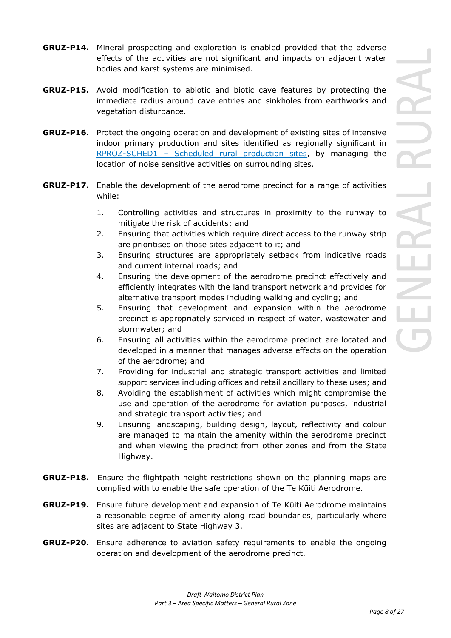- **GRUZ-P14.** Mineral prospecting and exploration is enabled provided that the adverse effects of the activities are not significant and impacts on adjacent water bodies and karst systems are minimised.
- **GRUZ-P15.** Avoid modification to abiotic and biotic cave features by protecting the immediate radius around cave entries and sinkholes from earthworks and vegetation disturbance.
- **GRUZ-P16.** Protect the ongoing operation and development of existing sites of intensive indoor primary production and sites identified as regionally significant in RPROZ-SCHED1 – Scheduled rural production sites, by managing the location of noise sensitive activities on surrounding sites.
- **GRUZ-P17.** Enable the development of the aerodrome precinct for a range of activities while:
	- 1. Controlling activities and structures in proximity to the runway to mitigate the risk of accidents; and
	- 2. Ensuring that activities which require direct access to the runway strip are prioritised on those sites adjacent to it; and
	- 3. Ensuring structures are appropriately setback from indicative roads and current internal roads; and
	- 4. Ensuring the development of the aerodrome precinct effectively and efficiently integrates with the land transport network and provides for alternative transport modes including walking and cycling; and
	- 5. Ensuring that development and expansion within the aerodrome precinct is appropriately serviced in respect of water, wastewater and stormwater; and
	- 6. Ensuring all activities within the aerodrome precinct are located and developed in a manner that manages adverse effects on the operation of the aerodrome; and
	- 7. Providing for industrial and strategic transport activities and limited support services including offices and retail ancillary to these uses; and
	- 8. Avoiding the establishment of activities which might compromise the use and operation of the aerodrome for aviation purposes, industrial and strategic transport activities; and
	- 9. Ensuring landscaping, building design, layout, reflectivity and colour are managed to maintain the amenity within the aerodrome precinct and when viewing the precinct from other zones and from the State Highway.
- **GRUZ-P18.** Ensure the flightpath height restrictions shown on the planning maps are complied with to enable the safe operation of the Te Kūiti Aerodrome.
- **GRUZ-P19.** Ensure future development and expansion of Te Kūiti Aerodrome maintains a reasonable degree of amenity along road boundaries, particularly where sites are adjacent to State Highway 3.
- **GRUZ-P20.** Ensure adherence to aviation safety requirements to enable the ongoing operation and development of the aerodrome precinct.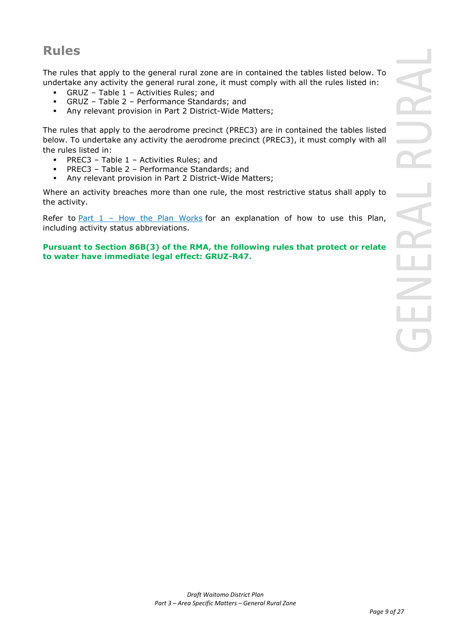# **Rules**

The rules that apply to the general rural zone are in contained the tables listed below. To undertake any activity the general rural zone, it must comply with all the rules listed in:

- $GRUZ Table 1 Activities Rules; and$
- GRUZ Table 2 Performance Standards; and
- Any relevant provision in Part 2 District-Wide Matters;

The rules that apply to the aerodrome precinct (PREC3) are in contained the tables listed below. To undertake any activity the aerodrome precinct (PREC3), it must comply with all the rules listed in:

- PREC3 Table  $1$  Activities Rules; and
- PREC3 Table 2 Performance Standards; and
- Any relevant provision in Part 2 District-Wide Matters;

Where an activity breaches more than one rule, the most restrictive status shall apply to the activity.

Refer to Part  $1$  – How the Plan Works for an explanation of how to use this Plan, including activity status abbreviations.

# **Pursuant to Section 86B(3) of the RMA, the following rules that protect or relate to water have immediate legal effect: GRUZ-R47.**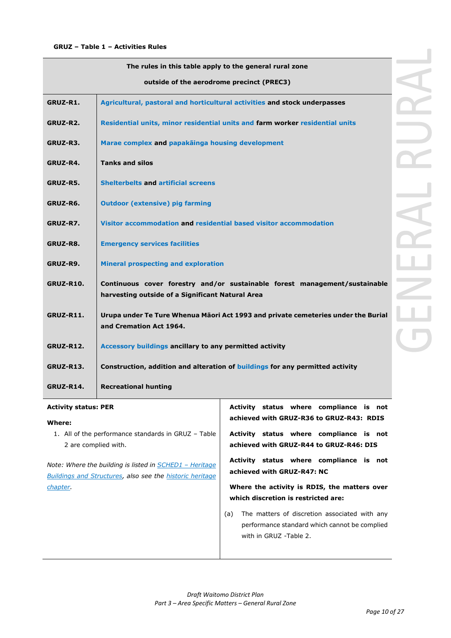| The rules in this table apply to the general rural zone |                                                                                                                                |  |
|---------------------------------------------------------|--------------------------------------------------------------------------------------------------------------------------------|--|
|                                                         | outside of the aerodrome precinct (PREC3)                                                                                      |  |
| GRUZ-R1.                                                | Agricultural, pastoral and horticultural activities and stock underpasses                                                      |  |
| GRUZ-R2.                                                | Residential units, minor residential units and farm worker residential units                                                   |  |
| GRUZ-R3.                                                | Marae complex and papakainga housing development                                                                               |  |
| GRUZ-R4.                                                | <b>Tanks and silos</b>                                                                                                         |  |
| GRUZ-R5.                                                | <b>Shelterbelts and artificial screens</b>                                                                                     |  |
| GRUZ-R6.                                                | <b>Outdoor (extensive) pig farming</b>                                                                                         |  |
| GRUZ-R7.                                                | Visitor accommodation and residential based visitor accommodation                                                              |  |
| GRUZ-R8.                                                | <b>Emergency services facilities</b>                                                                                           |  |
| GRUZ-R9.                                                | <b>Mineral prospecting and exploration</b>                                                                                     |  |
| GRUZ-R10.                                               | Continuous cover forestry and/or sustainable forest management/sustainable<br>harvesting outside of a Significant Natural Area |  |
| <b>GRUZ-R11.</b>                                        | Urupa under Te Ture Whenua Māori Act 1993 and private cemeteries under the Burial<br>and Cremation Act 1964.                   |  |
| <b>GRUZ-R12.</b>                                        | Accessory buildings ancillary to any permitted activity                                                                        |  |
| <b>GRUZ-R13.</b>                                        | Construction, addition and alteration of buildings for any permitted activity                                                  |  |
| GRUZ-R14.                                               | <b>Recreational hunting</b>                                                                                                    |  |

# **Activity status: PER**

#### **Where:**

1. All of the performance standards in GRUZ – Table 2 are complied with.

*Note: Where the building is listed in SCHED1 – Heritage Buildings and Structures, also see the historic heritage chapter.*

**achieved with GRUZ-R36 to GRUZ-R43: RDIS Activity status where compliance is not achieved with GRUZ-R44 to GRUZ-R46: DIS** 

**Activity status where compliance is not** 

**Activity status where compliance is not achieved with GRUZ-R47: NC**

**Where the activity is RDIS, the matters over which discretion is restricted are:**

(a) The matters of discretion associated with any performance standard which cannot be complied with in GRUZ -Table 2.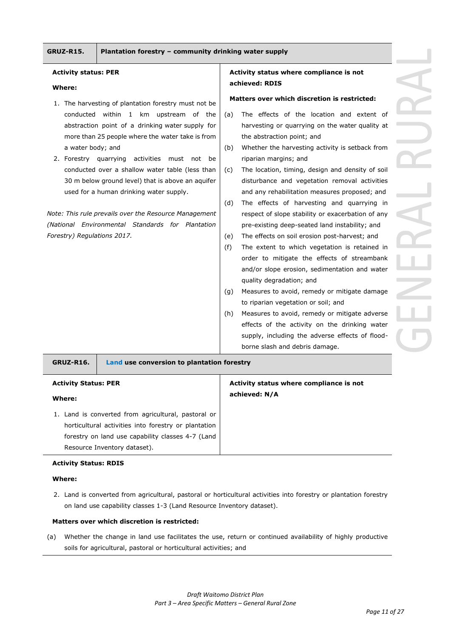#### **Activity status: PER**

#### **Where:**

- 1. The harvesting of plantation forestry must not be conducted within 1 km upstream of the abstraction point of a drinking water supply for more than 25 people where the water take is from a water body; and
- 2. Forestry quarrying activities must not be conducted over a shallow water table (less than 30 m below ground level) that is above an aquifer used for a human drinking water supply.

*Note: This rule prevails over the Resource Management (National Environmental Standards for Plantation Forestry) Regulations 2017.* 

## **Activity status where compliance is not achieved: RDIS**

#### **Matters over which discretion is restricted:**

- (a) The effects of the location and extent of harvesting or quarrying on the water quality at the abstraction point; and
- (b) Whether the harvesting activity is setback from riparian margins; and
- (c) The location, timing, design and density of soil disturbance and vegetation removal activities and any rehabilitation measures proposed; and
- (d) The effects of harvesting and quarrying in respect of slope stability or exacerbation of any pre-existing deep-seated land instability; and
- (e) The effects on soil erosion post-harvest; and
- (f) The extent to which vegetation is retained in order to mitigate the effects of streambank and/or slope erosion, sedimentation and water quality degradation; and
- (g) Measures to avoid, remedy or mitigate damage to riparian vegetation or soil; and
- (h) Measures to avoid, remedy or mitigate adverse effects of the activity on the drinking water supply, including the adverse effects of floodborne slash and debris damage.

| Land use conversion to plantation forestry<br>GRUZ-R16. |                                         |
|---------------------------------------------------------|-----------------------------------------|
| <b>Activity Status: PER</b>                             | Activity status where compliance is not |
| Where:                                                  | achieved: N/A                           |
| 1. Land is converted from agricultural, pastoral or     |                                         |
| horticultural activities into forestry or plantation    |                                         |
| forestry on land use capability classes 4-7 (Land       |                                         |
| Resource Inventory dataset).                            |                                         |

#### **Activity Status: RDIS**

#### **Where:**

2. Land is converted from agricultural, pastoral or horticultural activities into forestry or plantation forestry on land use capability classes 1-3 (Land Resource Inventory dataset).

#### **Matters over which discretion is restricted:**

(a) Whether the change in land use facilitates the use, return or continued availability of highly productive soils for agricultural, pastoral or horticultural activities; and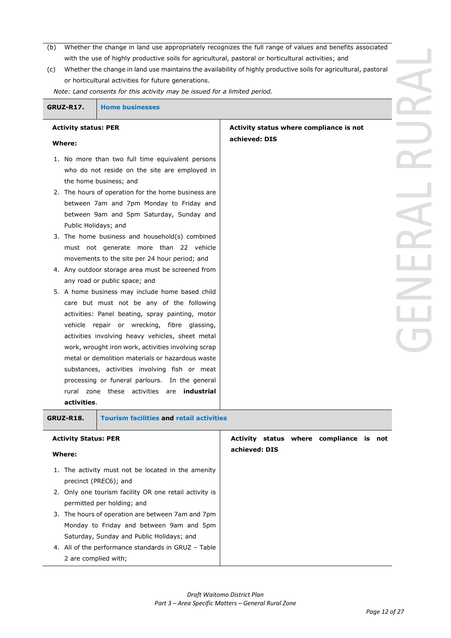- (b) Whether the change in land use appropriately recognizes the full range of values and benefits associated with the use of highly productive soils for agricultural, pastoral or horticultural activities; and
- (c) Whether the change in land use maintains the availability of highly productive soils for agricultural, pastoral or horticultural activities for future generations.

**achieved: DIS**

*Note: Land consents for this activity may be issued for a limited period.*

**GRUZ-R17. Home businesses**

#### **Where:**

**Activity status: PER**

- 1. No more than two full time equivalent persons who do not reside on the site are employed in the home business; and
- 2. The hours of operation for the home business are between 7am and 7pm Monday to Friday and between 9am and 5pm Saturday, Sunday and Public Holidays; and
- 3. The home business and household(s) combined must not generate more than 22 vehicle movements to the site per 24 hour period; and
- 4. Any outdoor storage area must be screened from any road or public space; and
- 5. A home business may include home based child care but must not be any of the following activities: Panel beating, spray painting, motor vehicle repair or wrecking, fibre glassing, activities involving heavy vehicles, sheet metal work, wrought iron work, activities involving scrap metal or demolition materials or hazardous waste substances, activities involving fish or meat processing or funeral parlours. In the general rural zone these activities are **industrial activities**.

**Activity status where compliance is not** 

# **GRUZ-R18. Tourism facilities and retail activities Activity Status: PER Where:** 1. The activity must not be located in the amenity precinct (PREC6); and 2. Only one tourism facility OR one retail activity is permitted per holding; and 3. The hours of operation are between 7am and 7pm Monday to Friday and between 9am and 5pm Saturday, Sunday and Public Holidays; and 4. All of the performance standards in GRUZ – Table 2 are complied with; **Activity status where compliance is not achieved: DIS**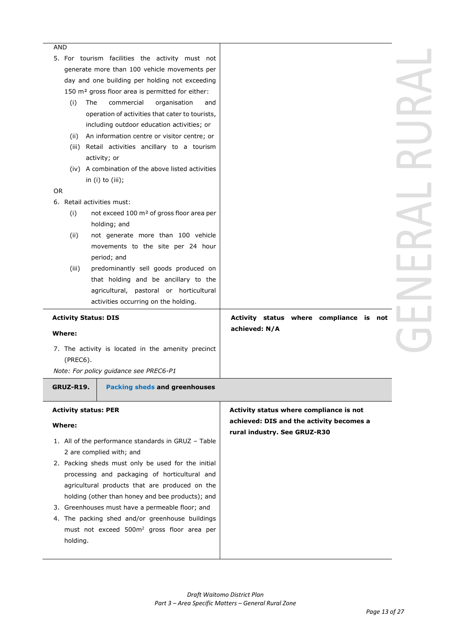| AND<br>5. For tourism facilities the activity must not       |                                          |  |
|--------------------------------------------------------------|------------------------------------------|--|
| generate more than 100 vehicle movements per                 |                                          |  |
| day and one building per holding not exceeding               |                                          |  |
| 150 m <sup>2</sup> gross floor area is permitted for either: |                                          |  |
| (i)<br>The<br>commercial<br>organisation<br>and              |                                          |  |
| operation of activities that cater to tourists,              |                                          |  |
| including outdoor education activities; or                   |                                          |  |
| An information centre or visitor centre; or                  |                                          |  |
| (ii)<br>Retail activities ancillary to a tourism             |                                          |  |
| (iii)                                                        |                                          |  |
| activity; or                                                 |                                          |  |
| (iv) A combination of the above listed activities            |                                          |  |
| in $(i)$ to $(iii)$ ;                                        |                                          |  |
| <b>OR</b>                                                    |                                          |  |
| 6. Retail activities must:                                   |                                          |  |
| not exceed 100 m <sup>2</sup> of gross floor area per<br>(i) |                                          |  |
| holding; and                                                 |                                          |  |
| not generate more than 100 vehicle<br>(ii)                   |                                          |  |
| movements to the site per 24 hour                            |                                          |  |
| period; and                                                  |                                          |  |
| predominantly sell goods produced on<br>(iii)                |                                          |  |
| that holding and be ancillary to the                         |                                          |  |
| agricultural, pastoral or horticultural                      |                                          |  |
| activities occurring on the holding.                         |                                          |  |
| <b>Activity Status: DIS</b>                                  | Activity status where compliance is not  |  |
| Where:                                                       | achieved: N/A                            |  |
|                                                              |                                          |  |
| 7. The activity is located in the amenity precinct           |                                          |  |
| (PREC6).                                                     |                                          |  |
| Note: For policy guidance see PREC6-P1                       |                                          |  |
| <b>Packing sheds and greenhouses</b><br>GRUZ-R19.            |                                          |  |
| <b>Activity status: PER</b>                                  | Activity status where compliance is not  |  |
| <b>Where:</b>                                                | achieved: DIS and the activity becomes a |  |
|                                                              | rural industry. See GRUZ-R30             |  |
| 1. All of the performance standards in GRUZ - Table          |                                          |  |
| 2 are complied with; and                                     |                                          |  |
| 2. Packing sheds must only be used for the initial           |                                          |  |
| processing and packaging of horticultural and                |                                          |  |
| agricultural products that are produced on the               |                                          |  |
| holding (other than honey and bee products); and             |                                          |  |
| 3. Greenhouses must have a permeable floor; and              |                                          |  |
| 4. The packing shed and/or greenhouse buildings              |                                          |  |
| must not exceed 500m <sup>2</sup> gross floor area per       |                                          |  |
| holding.                                                     |                                          |  |
|                                                              |                                          |  |
|                                                              |                                          |  |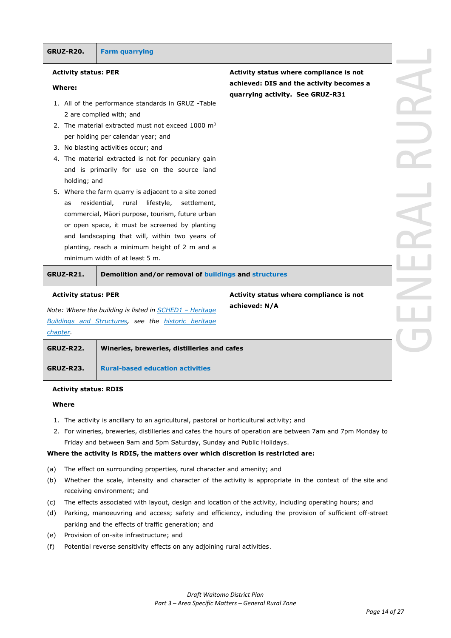| <b>GRUZ-R20.</b>            | <b>Farm quarrying</b>                                                                                                                                |                                          |  |
|-----------------------------|------------------------------------------------------------------------------------------------------------------------------------------------------|------------------------------------------|--|
| <b>Activity status: PER</b> |                                                                                                                                                      | Activity status where compliance is not  |  |
| Where:                      |                                                                                                                                                      | achieved: DIS and the activity becomes a |  |
|                             | 1. All of the performance standards in GRUZ -Table<br>2 are complied with; and                                                                       | quarrying activity. See GRUZ-R31         |  |
|                             | 2. The material extracted must not exceed 1000 $m3$                                                                                                  |                                          |  |
|                             | per holding per calendar year; and<br>3. No blasting activities occur; and                                                                           |                                          |  |
| holding; and                | 4. The material extracted is not for pecuniary gain<br>and is primarily for use on the source land                                                   |                                          |  |
| as                          | 5. Where the farm quarry is adjacent to a site zoned<br>residential,<br>rural<br>lifestyle,<br>settlement,                                           |                                          |  |
|                             | commercial, Māori purpose, tourism, future urban<br>or open space, it must be screened by planting<br>and landscaping that will, within two years of |                                          |  |
|                             | planting, reach a minimum height of 2 m and a<br>minimum width of at least 5 m.                                                                      |                                          |  |
| <b>GRUZ-R21.</b>            | Demolition and/or removal of buildings and structures                                                                                                |                                          |  |
| <b>Activity status: PER</b> |                                                                                                                                                      | Activity status where compliance is not  |  |
|                             | Note: Where the building is listed in <b>SCHED1</b> - Heritage                                                                                       | achieved: N/A                            |  |
|                             | Buildings and Structures, see the historic heritage                                                                                                  |                                          |  |

*chapter.* **GRUZ-R22. Wineries, breweries, distilleries and cafes GRUZ-R23. Rural-based education activities**

#### **Activity status: RDIS**

#### **Where**

- 1. The activity is ancillary to an agricultural, pastoral or horticultural activity; and
- 2. For wineries, breweries, distilleries and cafes the hours of operation are between 7am and 7pm Monday to Friday and between 9am and 5pm Saturday, Sunday and Public Holidays.

### **Where the activity is RDIS, the matters over which discretion is restricted are:**

- (a) The effect on surrounding properties, rural character and amenity; and
- (b) Whether the scale, intensity and character of the activity is appropriate in the context of the site and receiving environment; and
- (c) The effects associated with layout, design and location of the activity, including operating hours; and
- (d) Parking, manoeuvring and access; safety and efficiency, including the provision of sufficient off-street parking and the effects of traffic generation; and
- (e) Provision of on-site infrastructure; and
- (f) Potential reverse sensitivity effects on any adjoining rural activities.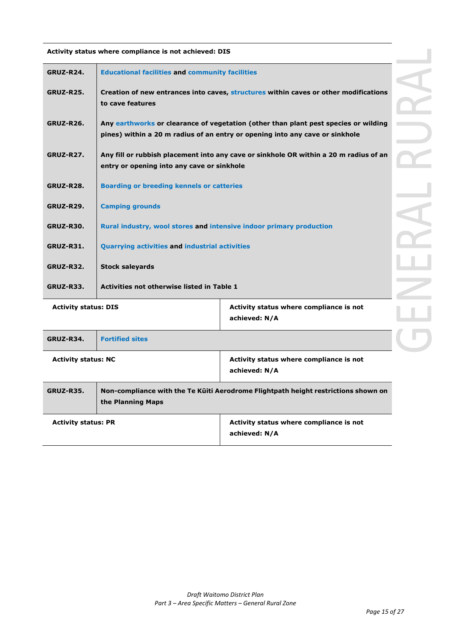| GRUZ-R24.                   | <b>Educational facilities and community facilities</b>              |                                                                                                                                                                     |  |
|-----------------------------|---------------------------------------------------------------------|---------------------------------------------------------------------------------------------------------------------------------------------------------------------|--|
| <b>GRUZ-R25.</b>            | to cave features                                                    | Creation of new entrances into caves, structures within caves or other modifications                                                                                |  |
| <b>GRUZ-R26.</b>            |                                                                     | Any earthworks or clearance of vegetation (other than plant pest species or wilding<br>pines) within a 20 m radius of an entry or opening into any cave or sinkhole |  |
| <b>GRUZ-R27.</b>            | entry or opening into any cave or sinkhole                          | Any fill or rubbish placement into any cave or sinkhole OR within a 20 m radius of an                                                                               |  |
| GRUZ-R28.                   | <b>Boarding or breeding kennels or catteries</b>                    |                                                                                                                                                                     |  |
| <b>GRUZ-R29.</b>            | <b>Camping grounds</b>                                              |                                                                                                                                                                     |  |
| <b>GRUZ-R30.</b>            | Rural industry, wool stores and intensive indoor primary production |                                                                                                                                                                     |  |
| <b>GRUZ-R31.</b>            | <b>Quarrying activities and industrial activities</b>               |                                                                                                                                                                     |  |
| <b>GRUZ-R32.</b>            | <b>Stock saleyards</b>                                              |                                                                                                                                                                     |  |
| <b>GRUZ-R33.</b>            | Activities not otherwise listed in Table 1                          |                                                                                                                                                                     |  |
| <b>Activity status: DIS</b> |                                                                     | Activity status where compliance is not<br>achieved: N/A                                                                                                            |  |
| <b>GRUZ-R34.</b>            | <b>Fortified sites</b>                                              |                                                                                                                                                                     |  |

**Activity status where compliance is not achieved: DIS**

| GRUZ-R34.                  | <b>Fortified sites</b> |                                                                                    |
|----------------------------|------------------------|------------------------------------------------------------------------------------|
| <b>Activity status: NC</b> |                        | Activity status where compliance is not<br>achieved: N/A                           |
| GRUZ-R35.                  | the Planning Maps      | Non-compliance with the Te Kuiti Aerodrome Flightpath height restrictions shown on |
| <b>Activity status: PR</b> |                        | Activity status where compliance is not<br>achieved: N/A                           |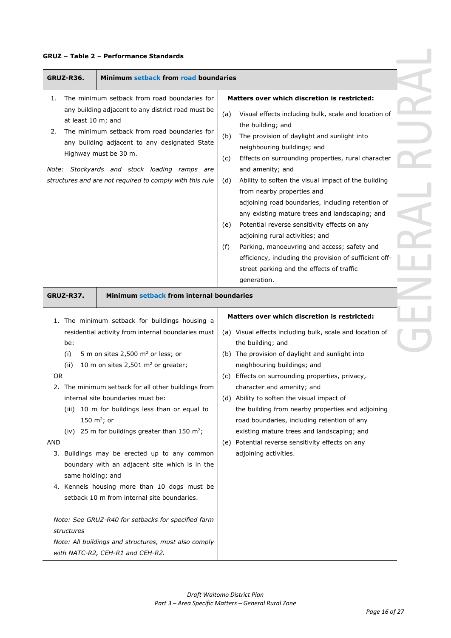## **GRUZ – Table 2 – Performance Standards**

| Minimum setback from road boundaries<br>GRUZ-R36.                                                                                                                                                                                                                                                                                                                                                                                                                                                                                                                                                                                                                                                |                                                                                                                                                                                                                                                                                                                                                                                                                                                                                                                                                                                                                                                                                                                                                                                 |
|--------------------------------------------------------------------------------------------------------------------------------------------------------------------------------------------------------------------------------------------------------------------------------------------------------------------------------------------------------------------------------------------------------------------------------------------------------------------------------------------------------------------------------------------------------------------------------------------------------------------------------------------------------------------------------------------------|---------------------------------------------------------------------------------------------------------------------------------------------------------------------------------------------------------------------------------------------------------------------------------------------------------------------------------------------------------------------------------------------------------------------------------------------------------------------------------------------------------------------------------------------------------------------------------------------------------------------------------------------------------------------------------------------------------------------------------------------------------------------------------|
| The minimum setback from road boundaries for<br>1.<br>any building adjacent to any district road must be<br>at least 10 m; and<br>The minimum setback from road boundaries for<br>2.<br>any building adjacent to any designated State<br>Highway must be 30 m.<br>Note: Stockyards and stock loading ramps are<br>structures and are not required to comply with this rule                                                                                                                                                                                                                                                                                                                       | Matters over which discretion is restricted:<br>(a)<br>Visual effects including bulk, scale and location of<br>the building; and<br>(b)<br>The provision of daylight and sunlight into<br>neighbouring buildings; and<br>(c)<br>Effects on surrounding properties, rural character<br>and amenity; and<br>Ability to soften the visual impact of the building<br>(d)<br>from nearby properties and<br>adjoining road boundaries, including retention of<br>any existing mature trees and landscaping; and<br>Potential reverse sensitivity effects on any<br>(e)<br>adjoining rural activities; and<br>Parking, manoeuvring and access; safety and<br>(f)<br>efficiency, including the provision of sufficient off-<br>street parking and the effects of traffic<br>generation. |
| Minimum setback from internal boundaries<br>GRUZ-R37.                                                                                                                                                                                                                                                                                                                                                                                                                                                                                                                                                                                                                                            | Matters over which discretion is restricted:                                                                                                                                                                                                                                                                                                                                                                                                                                                                                                                                                                                                                                                                                                                                    |
| 1. The minimum setback for buildings housing a<br>residential activity from internal boundaries must<br>be:<br>5 m on sites 2,500 $m2$ or less; or<br>(i)<br>10 m on sites 2,501 $m2$ or greater;<br>(ii)<br><b>OR</b><br>2. The minimum setback for all other buildings from<br>internal site boundaries must be:<br>(iii) 10 m for buildings less than or equal to<br>150 m <sup>2</sup> ; or<br>(iv) 25 m for buildings greater than 150 m <sup>2</sup> ;<br><b>AND</b><br>3. Buildings may be erected up to any common<br>boundary with an adjacent site which is in the<br>same holding; and<br>4. Kennels housing more than 10 dogs must be<br>setback 10 m from internal site boundaries. | (a) Visual effects including bulk, scale and location of<br>the building; and<br>(b) The provision of daylight and sunlight into<br>neighbouring buildings; and<br>(c) Effects on surrounding properties, privacy,<br>character and amenity; and<br>(d) Ability to soften the visual impact of<br>the building from nearby properties and adjoining<br>road boundaries, including retention of any<br>existing mature trees and landscaping; and<br>Potential reverse sensitivity effects on any<br>(e)<br>adjoining activities.                                                                                                                                                                                                                                                |
| Note: See GRUZ-R40 for setbacks for specified farm<br>structures<br>Note: All buildings and structures, must also comply<br>with NATC-R2, CEH-R1 and CEH-R2.                                                                                                                                                                                                                                                                                                                                                                                                                                                                                                                                     |                                                                                                                                                                                                                                                                                                                                                                                                                                                                                                                                                                                                                                                                                                                                                                                 |

 $\overline{a}$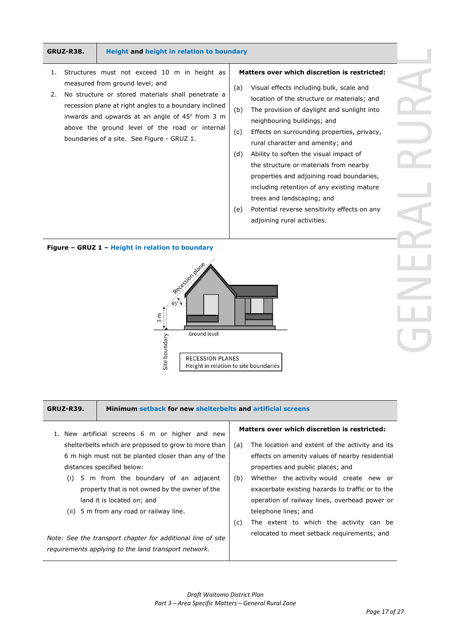#### **GRUZ-R38. Height and height in relation to boundary**

- 1. Structures must not exceed 10 m in height as measured from ground level; and
- 2. No structure or stored materials shall penetrate a recession plane at right angles to a boundary inclined inwards and upwards at an angle of  $45^{\circ}$  from 3 m above the ground level of the road or internal boundaries of a site. See Figure - GRUZ 1.

#### **Matters over which discretion is restricted:**

- (a) Visual effects including bulk, scale and location of the structure or materials; and
- (b) The provision of daylight and sunlight into neighbouring buildings; and
- (c) Effects on surrounding properties, privacy, rural character and amenity; and
- (d) Ability to soften the visual impact of the structure or materials from nearby properties and adjoining road boundaries, including retention of any existing mature trees and landscaping; and
- (e) Potential reverse sensitivity effects on any adjoining rural activities.

#### **Figure – GRUZ 1 – Height in relation to boundary**



#### **GRUZ-R39. Minimum setback for new shelterbelts and artificial screens**

- 1. New artificial screens 6 m or higher and new shelterbelts which are proposed to grow to more than 6 m high must not be planted closer than any of the distances specified below:
	- (i) 5 m from the boundary of an adjacent property that is not owned by the owner of the land it is located on; and
	- (ii) 5 m from any road or railway line.

*Note: See the transport chapter for additional line of site requirements applying to the land transport network.*

#### **Matters over which discretion is restricted:**

- (a) The location and extent of the activity and its effects on amenity values of nearby residential properties and public places; and
- (b) Whether the activity would create new or exacerbate existing hazards to traffic or to the operation of railway lines, overhead power or telephone lines; and
- (c) The extent to which the activity can be relocated to meet setback requirements; and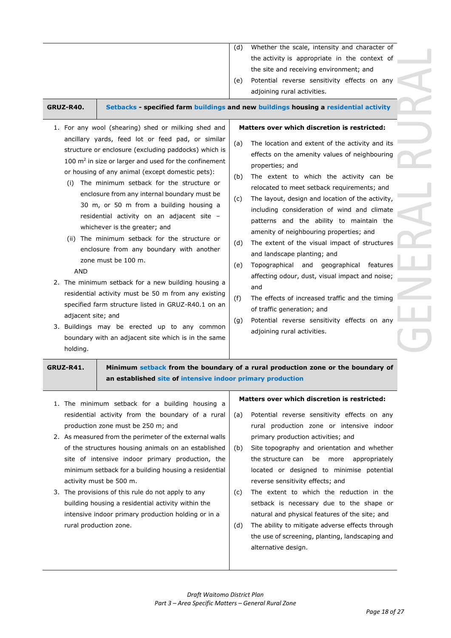|           |                                                                                                                                                                                                                                                                                | (U)<br>(e) | whether the scale, intensity and character of<br>the activity is appropriate in the context of<br>the site and receiving environment; and<br>Potential reverse sensitivity effects on any<br>adjoining rural activities.                                                                                                            |
|-----------|--------------------------------------------------------------------------------------------------------------------------------------------------------------------------------------------------------------------------------------------------------------------------------|------------|-------------------------------------------------------------------------------------------------------------------------------------------------------------------------------------------------------------------------------------------------------------------------------------------------------------------------------------|
| GRUZ-R40. |                                                                                                                                                                                                                                                                                |            | Setbacks - specified farm buildings and new buildings housing a residential activity                                                                                                                                                                                                                                                |
|           | 1. For any wool (shearing) shed or milking shed and                                                                                                                                                                                                                            |            | Matters over which discretion is restricted:                                                                                                                                                                                                                                                                                        |
| (i)       | ancillary yards, feed lot or feed pad, or similar<br>structure or enclosure (excluding paddocks) which is<br>100 $\mathrm{m}^2$ in size or larger and used for the confinement<br>or housing of any animal (except domestic pets):<br>The minimum setback for the structure or | (a)<br>(b) | The location and extent of the activity and its<br>effects on the amenity values of neighbouring<br>properties; and<br>The extent to which the activity can be<br>relocated to meet setback requirements; and                                                                                                                       |
|           | enclosure from any internal boundary must be<br>30 m, or 50 m from a building housing a<br>residential activity on an adjacent site -                                                                                                                                          | (c)        | The layout, design and location of the activity,<br>including consideration of wind and climate<br>$\mathbf{r}$ , and the set of the set of the set of the set of the set of the set of the set of the set of the set of the set of the set of the set of the set of the set of the set of the set of the set of the set of the set |

whichever is the greater; and (ii) The minimum setback for the structure or enclosure from any boundary with another

zone must be 100 m.

AND

- 2. The minimum setback for a new building housing a residential activity must be 50 m from any existing specified farm structure listed in GRUZ-R40.1 on an adjacent site; and
- 3. Buildings may be erected up to any common boundary with an adjacent site which is in the same holding.

patterns and the ability to maintain the amenity of neighbouring properties; and

(d) where scale the scale scale intensity and character of  $\ell$ 

- (d) The extent of the visual impact of structures and landscape planting; and
- (e) Topographical and geographical features affecting odour, dust, visual impact and noise; and
- (f) The effects of increased traffic and the timing of traffic generation; and
- (g) Potential reverse sensitivity effects on any adjoining rural activities.

| GRUZ-R41. |
|-----------|
|-----------|

**GRUZ-R41. Minimum setback from the boundary of a rural production zone or the boundary of an established site of intensive indoor primary production**

- 1. The minimum setback for a building housing a residential activity from the boundary of a rural production zone must be 250 m; and
- 2. As measured from the perimeter of the external walls of the structures housing animals on an established site of intensive indoor primary production, the minimum setback for a building housing a residential activity must be 500 m.
- 3. The provisions of this rule do not apply to any building housing a residential activity within the intensive indoor primary production holding or in a rural production zone.

## **Matters over which discretion is restricted:**

- (a) Potential reverse sensitivity effects on any rural production zone or intensive indoor primary production activities; and
- (b) Site topography and orientation and whether the structure can be more appropriately located or designed to minimise potential reverse sensitivity effects; and
- (c) The extent to which the reduction in the setback is necessary due to the shape or natural and physical features of the site; and
- (d) The ability to mitigate adverse effects through the use of screening, planting, landscaping and alternative design.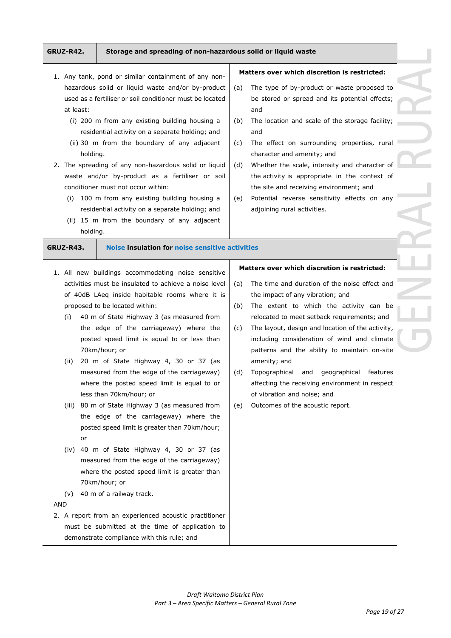# **GRUZ-R42. Storage and spreading of non-hazardous solid or liquid waste**

and

and

- 1. Any tank, pond or similar containment of any nonhazardous solid or liquid waste and/or by-product used as a fertiliser or soil conditioner must be located at least:
	- (i) 200 m from any existing building housing a residential activity on a separate holding; and
	- (ii) 30 m from the boundary of any adjacent holding.
- 2. The spreading of any non-hazardous solid or liquid waste and/or by-product as a fertiliser or soil conditioner must not occur within:
	- (i) 100 m from any existing building housing a residential activity on a separate holding; and
	- (ii) 15 m from the boundary of any adjacent holding.

# **GRUZ-R43. Noise insulation for noise sensitive activities**

- 1. All new buildings accommodating noise sensitive activities must be insulated to achieve a noise level of 40dB LAeq inside habitable rooms where it is proposed to be located within:
	- (i) 40 m of State Highway 3 (as measured from the edge of the carriageway) where the posted speed limit is equal to or less than 70km/hour; or
	- (ii) 20 m of State Highway 4, 30 or 37 (as measured from the edge of the carriageway) where the posted speed limit is equal to or less than 70km/hour; or
	- (iii) 80 m of State Highway 3 (as measured from the edge of the carriageway) where the posted speed limit is greater than 70km/hour; or
	- (iv) 40 m of State Highway 4, 30 or 37 (as measured from the edge of the carriageway) where the posted speed limit is greater than 70km/hour; or
	- (v) 40 m of a railway track.

### AND

2. A report from an experienced acoustic practitioner must be submitted at the time of application to demonstrate compliance with this rule; and

# **Matters over which discretion is restricted:**

**Matters over which discretion is restricted:**

(a) The type of by-product or waste proposed to be stored or spread and its potential effects;

> the activity is appropriate in the context of the site and receiving environment; and

character and amenity; and

adjoining rural activities.

- (a) The time and duration of the noise effect and the impact of any vibration; and
- (b) The extent to which the activity can be relocated to meet setback requirements; and
- (c) The layout, design and location of the activity, including consideration of wind and climate patterns and the ability to maintain on-site amenity; and
- (d) Topographical and geographical features affecting the receiving environment in respect of vibration and noise; and
- (e) Outcomes of the acoustic report.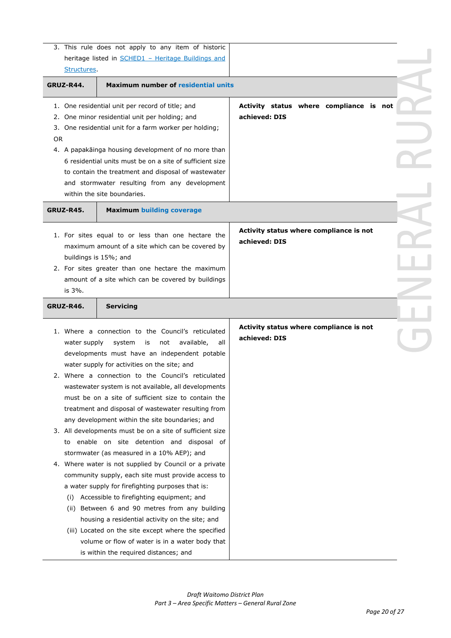| 3. This rule does not apply to any item of historic                                                                                                               |  |
|-------------------------------------------------------------------------------------------------------------------------------------------------------------------|--|
| heritage listed in <b>SCHED1</b> - Heritage Buildings and                                                                                                         |  |
| Structures.                                                                                                                                                       |  |
| <b>Maximum number of residential units</b><br>GRUZ-R44.                                                                                                           |  |
| Activity status where compliance is not<br>1. One residential unit per record of title; and<br>achieved: DIS<br>One minor residential unit per holding; and<br>2. |  |
| One residential unit for a farm worker per holding;<br>3.                                                                                                         |  |
| 0R                                                                                                                                                                |  |
| 4. A papakāinga housing development of no more than                                                                                                               |  |
| 6 residential units must be on a site of sufficient size                                                                                                          |  |
| to contain the treatment and disposal of wastewater                                                                                                               |  |
| and stormwater resulting from any development<br>within the site boundaries.                                                                                      |  |
|                                                                                                                                                                   |  |
| <b>GRUZ-R45.</b><br><b>Maximum building coverage</b>                                                                                                              |  |
| Activity status where compliance is not                                                                                                                           |  |
| 1. For sites equal to or less than one hectare the<br>achieved: DIS                                                                                               |  |
| maximum amount of a site which can be covered by                                                                                                                  |  |
| buildings is 15%; and                                                                                                                                             |  |
| 2. For sites greater than one hectare the maximum<br>amount of a site which can be covered by buildings                                                           |  |
| is 3%.                                                                                                                                                            |  |
|                                                                                                                                                                   |  |
| GRUZ-R46.<br><b>Servicing</b>                                                                                                                                     |  |
| Activity status where compliance is not<br>1. Where a connection to the Council's reticulated                                                                     |  |
| achieved: DIS<br>available,<br>all<br>water supply<br>system<br>not<br>is                                                                                         |  |
| developments must have an independent potable                                                                                                                     |  |
| water supply for activities on the site; and                                                                                                                      |  |
| 2. Where a connection to the Council's reticulated                                                                                                                |  |
| wastewater system is not available, all developments                                                                                                              |  |
| must be on a site of sufficient size to contain the                                                                                                               |  |
| treatment and disposal of wastewater resulting from                                                                                                               |  |
| any development within the site boundaries; and                                                                                                                   |  |
| 3. All developments must be on a site of sufficient size                                                                                                          |  |
| to enable on site detention and disposal of                                                                                                                       |  |
| stormwater (as measured in a 10% AEP); and                                                                                                                        |  |
| 4. Where water is not supplied by Council or a private<br>community supply, each site must provide access to                                                      |  |
| a water supply for firefighting purposes that is:                                                                                                                 |  |
| (i) Accessible to firefighting equipment; and                                                                                                                     |  |
| (ii) Between 6 and 90 metres from any building                                                                                                                    |  |
| housing a residential activity on the site; and                                                                                                                   |  |
| (iii) Located on the site except where the specified                                                                                                              |  |
| volume or flow of water is in a water body that                                                                                                                   |  |
| is within the required distances; and                                                                                                                             |  |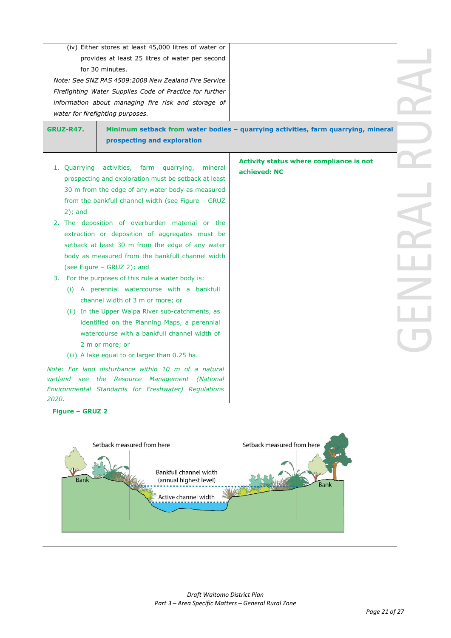|                  | (iv) Either stores at least 45,000 litres of water or                                                                                                                                                                           |                                                                                   |  |
|------------------|---------------------------------------------------------------------------------------------------------------------------------------------------------------------------------------------------------------------------------|-----------------------------------------------------------------------------------|--|
|                  | provides at least 25 litres of water per second                                                                                                                                                                                 |                                                                                   |  |
|                  | for 30 minutes.                                                                                                                                                                                                                 |                                                                                   |  |
|                  | Note: See SNZ PAS 4509:2008 New Zealand Fire Service                                                                                                                                                                            |                                                                                   |  |
|                  | Firefighting Water Supplies Code of Practice for further                                                                                                                                                                        |                                                                                   |  |
|                  | information about managing fire risk and storage of                                                                                                                                                                             |                                                                                   |  |
|                  | water for firefighting purposes.                                                                                                                                                                                                |                                                                                   |  |
| <b>GRUZ-R47.</b> |                                                                                                                                                                                                                                 | Minimum setback from water bodies - quarrying activities, farm quarrying, mineral |  |
|                  | prospecting and exploration                                                                                                                                                                                                     |                                                                                   |  |
|                  |                                                                                                                                                                                                                                 |                                                                                   |  |
|                  | 1. Quarrying activities, farm quarrying,<br>mineral                                                                                                                                                                             | Activity status where compliance is not                                           |  |
|                  | prospecting and exploration must be setback at least                                                                                                                                                                            | achieved: NC                                                                      |  |
|                  | 30 m from the edge of any water body as measured                                                                                                                                                                                |                                                                                   |  |
|                  | from the bankfull channel width (see Figure - GRUZ                                                                                                                                                                              |                                                                                   |  |
| $2$ ; and        |                                                                                                                                                                                                                                 |                                                                                   |  |
|                  | 2. The deposition of overburden material or the                                                                                                                                                                                 |                                                                                   |  |
|                  | extraction or deposition of aggregates must be                                                                                                                                                                                  |                                                                                   |  |
|                  | setback at least 30 m from the edge of any water                                                                                                                                                                                |                                                                                   |  |
|                  | body as measured from the bankfull channel width                                                                                                                                                                                |                                                                                   |  |
|                  | (see Figure - GRUZ 2); and                                                                                                                                                                                                      |                                                                                   |  |
|                  | 3. For the purposes of this rule a water body is:                                                                                                                                                                               |                                                                                   |  |
|                  | (i) A perennial watercourse with a bankfull                                                                                                                                                                                     |                                                                                   |  |
|                  | channel width of 3 m or more; or                                                                                                                                                                                                |                                                                                   |  |
|                  | (ii) In the Upper Waipa River sub-catchments, as                                                                                                                                                                                |                                                                                   |  |
|                  | identified on the Planning Maps, a perennial                                                                                                                                                                                    |                                                                                   |  |
|                  | watercourse with a bankfull channel width of                                                                                                                                                                                    |                                                                                   |  |
|                  |                                                                                                                                                                                                                                 |                                                                                   |  |
|                  |                                                                                                                                                                                                                                 |                                                                                   |  |
|                  |                                                                                                                                                                                                                                 |                                                                                   |  |
|                  |                                                                                                                                                                                                                                 |                                                                                   |  |
|                  |                                                                                                                                                                                                                                 |                                                                                   |  |
|                  | 2 m or more; or<br>(iii) A lake equal to or larger than 0.25 ha.<br>Note: For land disturbance within 10 m of a natural<br>wetland see the Resource Management (National<br>Environmental Standards for Freshwater) Regulations |                                                                                   |  |

**Figure – GRUZ 2**

*2020.*

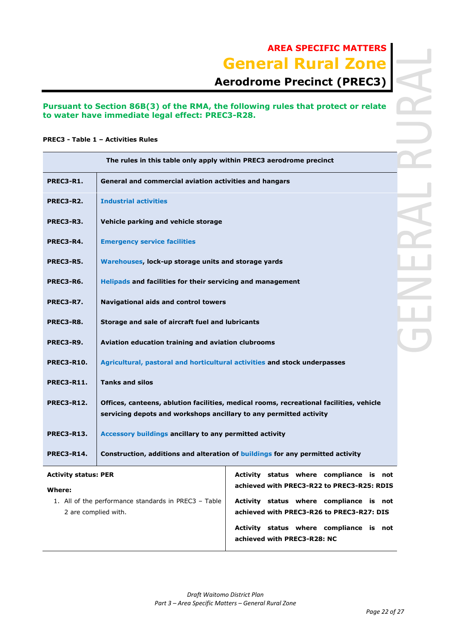# **AREA SPECIFIC MATTERS General Rural Zone**

# **Aerodrome Precinct (PREC3)**

## **Pursuant to Section 86B(3) of the RMA, the following rules that protect or relate to water have immediate legal effect: PREC3-R28.**

## **PREC3 - Table 1 – Activities Rules**

|                             | The rules in this table only apply within PREC3 aerodrome precinct        |                                                                                         |  |  |  |
|-----------------------------|---------------------------------------------------------------------------|-----------------------------------------------------------------------------------------|--|--|--|
| <b>PREC3-R1.</b>            | General and commercial aviation activities and hangars                    |                                                                                         |  |  |  |
| PREC3-R2.                   | <b>Industrial activities</b>                                              |                                                                                         |  |  |  |
| PREC3-R3.                   | Vehicle parking and vehicle storage                                       |                                                                                         |  |  |  |
| PREC3-R4.                   | <b>Emergency service facilities</b>                                       |                                                                                         |  |  |  |
| PREC3-R5.                   | Warehouses, lock-up storage units and storage yards                       |                                                                                         |  |  |  |
| PREC3-R6.                   | Helipads and facilities for their servicing and management                |                                                                                         |  |  |  |
| PREC3-R7.                   | <b>Navigational aids and control towers</b>                               |                                                                                         |  |  |  |
| PREC3-R8.                   | Storage and sale of aircraft fuel and lubricants                          |                                                                                         |  |  |  |
| PREC3-R9.                   | Aviation education training and aviation clubrooms                        |                                                                                         |  |  |  |
| <b>PREC3-R10.</b>           | Agricultural, pastoral and horticultural activities and stock underpasses |                                                                                         |  |  |  |
| <b>PREC3-R11.</b>           | <b>Tanks and silos</b>                                                    |                                                                                         |  |  |  |
| <b>PREC3-R12.</b>           | servicing depots and workshops ancillary to any permitted activity        | Offices, canteens, ablution facilities, medical rooms, recreational facilities, vehicle |  |  |  |
| <b>PREC3-R13.</b>           | Accessory buildings ancillary to any permitted activity                   |                                                                                         |  |  |  |
| <b>PREC3-R14.</b>           |                                                                           | Construction, additions and alteration of buildings for any permitted activity          |  |  |  |
| <b>Activity status: PER</b> |                                                                           | Activity status where compliance is not                                                 |  |  |  |
| Where:                      |                                                                           | achieved with PREC3-R22 to PREC3-R25: RDIS                                              |  |  |  |
|                             | 1. All of the performance standards in PREC3 - Table                      | Activity status where compliance is not                                                 |  |  |  |
| 2 are complied with.        |                                                                           | achieved with PREC3-R26 to PREC3-R27: DIS                                               |  |  |  |
|                             |                                                                           |                                                                                         |  |  |  |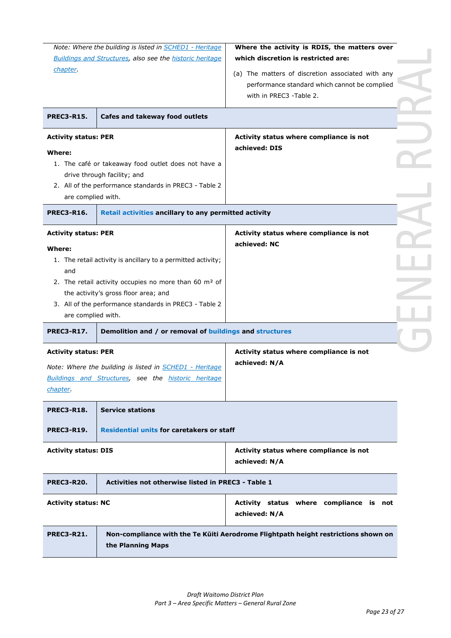| chapter.<br><b>PREC3-R15.</b>                                                                                                                                                                                                                                 | Note: Where the building is listed in SCHED1 - Heritage<br><b>Buildings and Structures, also see the historic heritage</b><br>Cafes and takeway food outlets                                                                                                                                 | Where the activity is RDIS, the matters over<br>which discretion is restricted are:<br>(a) The matters of discretion associated with any<br>performance standard which cannot be complied<br>with in PREC3 -Table 2. |  |
|---------------------------------------------------------------------------------------------------------------------------------------------------------------------------------------------------------------------------------------------------------------|----------------------------------------------------------------------------------------------------------------------------------------------------------------------------------------------------------------------------------------------------------------------------------------------|----------------------------------------------------------------------------------------------------------------------------------------------------------------------------------------------------------------------|--|
| <b>Activity status: PER</b><br>Where:<br>1. The café or takeaway food outlet does not have a<br>drive through facility; and<br>2. All of the performance standards in PREC3 - Table 2<br>are complied with.                                                   |                                                                                                                                                                                                                                                                                              | Activity status where compliance is not<br>achieved: DIS                                                                                                                                                             |  |
| <b>PREC3-R16.</b><br><b>Activity status: PER</b><br>Where:<br>and<br>are complied with.                                                                                                                                                                       | Retail activities ancillary to any permitted activity<br>1. The retail activity is ancillary to a permitted activity;<br>2. The retail activity occupies no more than 60 m <sup>2</sup> of<br>the activity's gross floor area; and<br>3. All of the performance standards in PREC3 - Table 2 | Activity status where compliance is not<br>achieved: NC                                                                                                                                                              |  |
| Demolition and / or removal of buildings and structures<br><b>PREC3-R17.</b><br><b>Activity status: PER</b><br>Note: Where the building is listed in <b>SCHED1</b> - Heritage<br><b>Buildings and Structures, see the historic heritage</b><br><i>chapter</i> |                                                                                                                                                                                                                                                                                              | Activity status where compliance is not<br>achieved: N/A                                                                                                                                                             |  |
| <b>PREC3-R18.</b><br><b>PREC3-R19.</b>                                                                                                                                                                                                                        | <b>Service stations</b><br><b>Residential units for caretakers or staff</b>                                                                                                                                                                                                                  |                                                                                                                                                                                                                      |  |
| <b>Activity status: DIS</b>                                                                                                                                                                                                                                   |                                                                                                                                                                                                                                                                                              | Activity status where compliance is not<br>achieved: N/A                                                                                                                                                             |  |
| <b>PREC3-R20.</b>                                                                                                                                                                                                                                             | Activities not otherwise listed in PREC3 - Table 1                                                                                                                                                                                                                                           |                                                                                                                                                                                                                      |  |
| <b>Activity status: NC</b>                                                                                                                                                                                                                                    |                                                                                                                                                                                                                                                                                              | Activity status where compliance is not<br>achieved: N/A                                                                                                                                                             |  |
| <b>PREC3-R21.</b>                                                                                                                                                                                                                                             | the Planning Maps                                                                                                                                                                                                                                                                            | Non-compliance with the Te Kūiti Aerodrome Flightpath height restrictions shown on                                                                                                                                   |  |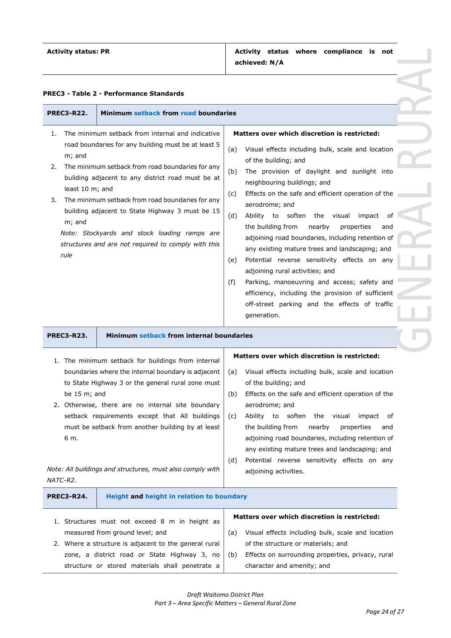| <b>PREC3-R22.</b>                                             | Minimum setback from road boundaries                                                                                                                                                                                                                                                                                                                                                                                           |                                                                                                                                                                                                                                                                                                                                                                                                                                                                                                                                                                                                                                                                                                                                                                                                    |
|---------------------------------------------------------------|--------------------------------------------------------------------------------------------------------------------------------------------------------------------------------------------------------------------------------------------------------------------------------------------------------------------------------------------------------------------------------------------------------------------------------|----------------------------------------------------------------------------------------------------------------------------------------------------------------------------------------------------------------------------------------------------------------------------------------------------------------------------------------------------------------------------------------------------------------------------------------------------------------------------------------------------------------------------------------------------------------------------------------------------------------------------------------------------------------------------------------------------------------------------------------------------------------------------------------------------|
| 1.<br>m; and<br>2.<br>least 10 m; and<br>3.<br>m; and<br>rule | The minimum setback from internal and indicative<br>road boundaries for any building must be at least 5<br>The minimum setback from road boundaries for any<br>building adjacent to any district road must be at<br>The minimum setback from road boundaries for any<br>building adjacent to State Highway 3 must be 15<br>Note: Stockyards and stock loading ramps are<br>structures and are not required to comply with this | <b>Matters over which discretion is restricted:</b><br>Visual effects including bulk, scale and location<br>(a)<br>of the building; and<br>The provision of daylight and sunlight into<br>(b)<br>neighbouring buildings; and<br>Effects on the safe and efficient operation of the<br>(c)<br>aerodrome; and<br>(d)<br>Ability to soften the visual<br>impact<br>of<br>the building from<br>nearby<br>properties<br>and<br>adjoining road boundaries, including retention of<br>any existing mature trees and landscaping; and<br>Potential reverse sensitivity effects on any<br>(e)<br>adjoining rural activities; and<br>Parking, manoeuvring and access; safety and<br>(f)<br>efficiency, including the provision of sufficient<br>off-street parking and the effects of traffic<br>generation. |
| <b>PREC3-R23.</b>                                             | Minimum setback from internal boundaries                                                                                                                                                                                                                                                                                                                                                                                       |                                                                                                                                                                                                                                                                                                                                                                                                                                                                                                                                                                                                                                                                                                                                                                                                    |
| be $15 \text{ m}$ ; and<br>6 m.                               | 1. The minimum setback for buildings from internal<br>boundaries where the internal boundary is adjacent<br>to State Highway 3 or the general rural zone must<br>2. Otherwise, there are no internal site boundary<br>setback requirements except that All buildings<br>must be setback from another building by at least<br>Note: All buildings and structures, must also comply with                                         | <b>Matters over which discretion is restricted:</b><br>Visual effects including bulk, scale and location<br>(a)<br>of the building; and<br>Effects on the safe and efficient operation of the<br>(b)<br>aerodrome; and<br>Ability to soften the visual<br>(c)<br>impact of<br>the building from<br>nearby<br>properties<br>and<br>adjoining road boundaries, including retention of<br>any existing mature trees and landscaping; and<br>Potential reverse sensitivity effects on any<br>(d)<br>adjoining activities.                                                                                                                                                                                                                                                                              |
| NATC-R2.<br><b>PREC3-R24.</b>                                 | Height and height in relation to boundary                                                                                                                                                                                                                                                                                                                                                                                      |                                                                                                                                                                                                                                                                                                                                                                                                                                                                                                                                                                                                                                                                                                                                                                                                    |
|                                                               | 1. Structures must not exceed 8 m in height as                                                                                                                                                                                                                                                                                                                                                                                 | <b>Matters over which discretion is restricted:</b>                                                                                                                                                                                                                                                                                                                                                                                                                                                                                                                                                                                                                                                                                                                                                |

|                                                 | zone, a district road or State Highway 3, no $(b)$ Effects on surrounding properties, privacy, rural |
|-------------------------------------------------|------------------------------------------------------------------------------------------------------|
| structure or stored materials shall penetrate a | character and amenity; and                                                                           |
|                                                 |                                                                                                      |
|                                                 |                                                                                                      |

measured from ground level; and

2. Where a structure is adjacent to the general rural

(a) Visual effects including bulk, scale and location

of the structure or materials; and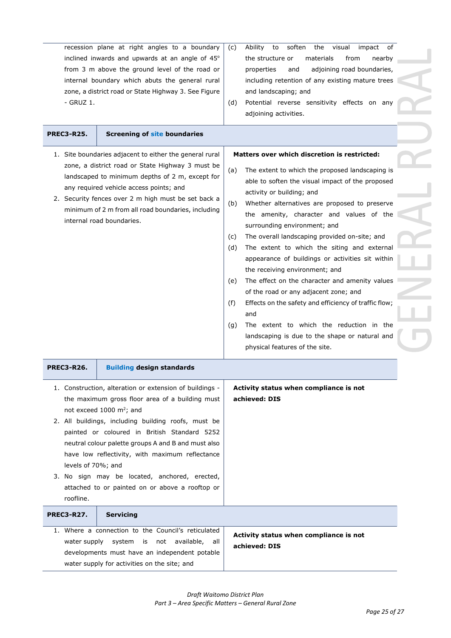| recession plane at right angles to a boundary<br>inclined inwards and upwards at an angle of 45°<br>from 3 m above the ground level of the road or<br>internal boundary which abuts the general rural<br>zone, a district road or State Highway 3. See Figure<br>- GRUZ 1. |                                                                                                                                                                                                                                                                                                                                                                                                                                                                         | Ability<br>to<br>soften<br>the visual impact of<br>(C)<br>the structure or<br>materials<br>from<br>nearby<br>adjoining road boundaries,<br>properties<br>and<br>including retention of any existing mature trees<br>and landscaping; and<br>Potential reverse sensitivity effects on any<br>(d)<br>adjoining activities.                                                                                                                                                                                                                                                                                                                                                                                                                                                                                                                        |  |
|----------------------------------------------------------------------------------------------------------------------------------------------------------------------------------------------------------------------------------------------------------------------------|-------------------------------------------------------------------------------------------------------------------------------------------------------------------------------------------------------------------------------------------------------------------------------------------------------------------------------------------------------------------------------------------------------------------------------------------------------------------------|-------------------------------------------------------------------------------------------------------------------------------------------------------------------------------------------------------------------------------------------------------------------------------------------------------------------------------------------------------------------------------------------------------------------------------------------------------------------------------------------------------------------------------------------------------------------------------------------------------------------------------------------------------------------------------------------------------------------------------------------------------------------------------------------------------------------------------------------------|--|
| <b>PREC3-R25.</b>                                                                                                                                                                                                                                                          | <b>Screening of site boundaries</b>                                                                                                                                                                                                                                                                                                                                                                                                                                     |                                                                                                                                                                                                                                                                                                                                                                                                                                                                                                                                                                                                                                                                                                                                                                                                                                                 |  |
|                                                                                                                                                                                                                                                                            | 1. Site boundaries adjacent to either the general rural<br>zone, a district road or State Highway 3 must be<br>landscaped to minimum depths of 2 m, except for<br>any required vehicle access points; and<br>2. Security fences over 2 m high must be set back a<br>minimum of 2 m from all road boundaries, including<br>internal road boundaries.                                                                                                                     | Matters over which discretion is restricted:<br>The extent to which the proposed landscaping is<br>(a)<br>able to soften the visual impact of the proposed<br>activity or building; and<br>Whether alternatives are proposed to preserve<br>(b)<br>the amenity, character and values of the<br>surrounding environment; and<br>The overall landscaping provided on-site; and<br>(c)<br>The extent to which the siting and external<br>(d)<br>appearance of buildings or activities sit within<br>the receiving environment; and<br>The effect on the character and amenity values<br>(e)<br>of the road or any adjacent zone; and<br>Effects on the safety and efficiency of traffic flow;<br>(f)<br>and<br>The extent to which the reduction in the<br>(g)<br>landscaping is due to the shape or natural and<br>physical features of the site. |  |
| <b>PREC3-R26.</b>                                                                                                                                                                                                                                                          | <b>Building design standards</b>                                                                                                                                                                                                                                                                                                                                                                                                                                        |                                                                                                                                                                                                                                                                                                                                                                                                                                                                                                                                                                                                                                                                                                                                                                                                                                                 |  |
| levels of 70%; and<br>roofline.                                                                                                                                                                                                                                            | 1. Construction, alteration or extension of buildings -<br>the maximum gross floor area of a building must<br>not exceed 1000 m <sup>2</sup> ; and<br>2. All buildings, including building roofs, must be<br>painted or coloured in British Standard 5252<br>neutral colour palette groups A and B and must also<br>have low reflectivity, with maximum reflectance<br>3. No sign may be located, anchored, erected,<br>attached to or painted on or above a rooftop or | Activity status when compliance is not<br>achieved: DIS                                                                                                                                                                                                                                                                                                                                                                                                                                                                                                                                                                                                                                                                                                                                                                                         |  |
| <b>PREC3-R27.</b>                                                                                                                                                                                                                                                          | <b>Servicing</b>                                                                                                                                                                                                                                                                                                                                                                                                                                                        |                                                                                                                                                                                                                                                                                                                                                                                                                                                                                                                                                                                                                                                                                                                                                                                                                                                 |  |
| water supply                                                                                                                                                                                                                                                               | 1. Where a connection to the Council's reticulated<br>system<br>available,<br>is<br>not<br>all<br>developments must have an independent potable<br>water supply for activities on the site; and                                                                                                                                                                                                                                                                         | Activity status when compliance is not<br>achieved: DIS                                                                                                                                                                                                                                                                                                                                                                                                                                                                                                                                                                                                                                                                                                                                                                                         |  |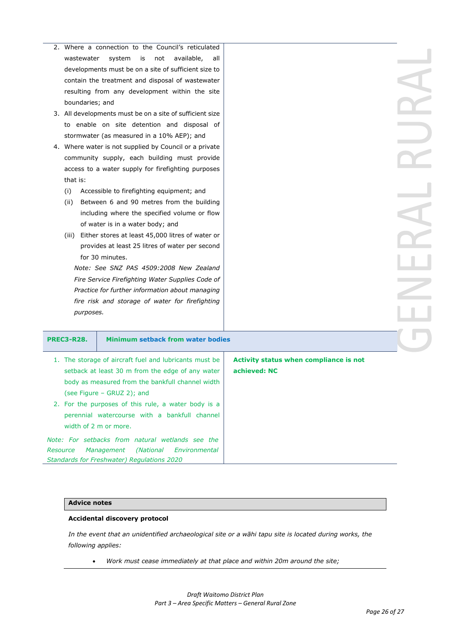|                                                  |                                                        | 2. Where a connection to the Council's reticulated       |                                        |  |
|--------------------------------------------------|--------------------------------------------------------|----------------------------------------------------------|----------------------------------------|--|
|                                                  | is<br>not<br>available,<br>wastewater<br>system<br>all |                                                          |                                        |  |
|                                                  | developments must be on a site of sufficient size to   |                                                          |                                        |  |
|                                                  |                                                        | contain the treatment and disposal of wastewater         |                                        |  |
|                                                  |                                                        | resulting from any development within the site           |                                        |  |
|                                                  | boundaries; and                                        |                                                          |                                        |  |
|                                                  |                                                        | 3. All developments must be on a site of sufficient size |                                        |  |
|                                                  |                                                        | to enable on site detention and disposal of              |                                        |  |
|                                                  |                                                        | stormwater (as measured in a 10% AEP); and               |                                        |  |
|                                                  |                                                        | 4. Where water is not supplied by Council or a private   |                                        |  |
|                                                  |                                                        | community supply, each building must provide             |                                        |  |
|                                                  |                                                        | access to a water supply for firefighting purposes       |                                        |  |
|                                                  | that is:                                               |                                                          |                                        |  |
|                                                  | (i)                                                    | Accessible to firefighting equipment; and                |                                        |  |
|                                                  | (ii)                                                   | Between 6 and 90 metres from the building                |                                        |  |
|                                                  |                                                        | including where the specified volume or flow             |                                        |  |
|                                                  |                                                        | of water is in a water body; and                         |                                        |  |
|                                                  | (iii)                                                  | Either stores at least 45,000 litres of water or         |                                        |  |
|                                                  |                                                        | provides at least 25 litres of water per second          |                                        |  |
|                                                  | for 30 minutes.                                        |                                                          |                                        |  |
|                                                  | Note: See SNZ PAS 4509:2008 New Zealand                |                                                          |                                        |  |
|                                                  | Fire Service Firefighting Water Supplies Code of       |                                                          |                                        |  |
|                                                  |                                                        | Practice for further information about managing          |                                        |  |
|                                                  |                                                        | fire risk and storage of water for firefighting          |                                        |  |
|                                                  | purposes.                                              |                                                          |                                        |  |
|                                                  |                                                        |                                                          |                                        |  |
|                                                  | <b>PREC3-R28.</b>                                      | <b>Minimum setback from water bodies</b>                 |                                        |  |
|                                                  |                                                        |                                                          |                                        |  |
|                                                  |                                                        | 1. The storage of aircraft fuel and lubricants must be   | Activity status when compliance is not |  |
|                                                  |                                                        | setback at least 30 m from the edge of any water         | achieved: NC                           |  |
|                                                  | body as measured from the bankfull channel width       |                                                          |                                        |  |
|                                                  | (see Figure - GRUZ 2); and                             |                                                          |                                        |  |
|                                                  | 2. For the purposes of this rule, a water body is a    |                                                          |                                        |  |
|                                                  | perennial watercourse with a bankfull channel          |                                                          |                                        |  |
|                                                  | width of 2 m or more.                                  |                                                          |                                        |  |
| Note: For setbacks from natural wetlands see the |                                                        |                                                          |                                        |  |

### **Advice notes**

#### **Accidental discovery protocol**

*Standards for Freshwater) Regulations 2020*

*Resource Management (National Environmental* 

*In the event that an unidentified archaeological site or a wāhi tapu site is located during works, the following applies:*

• *Work must cease immediately at that place and within 20m around the site;*